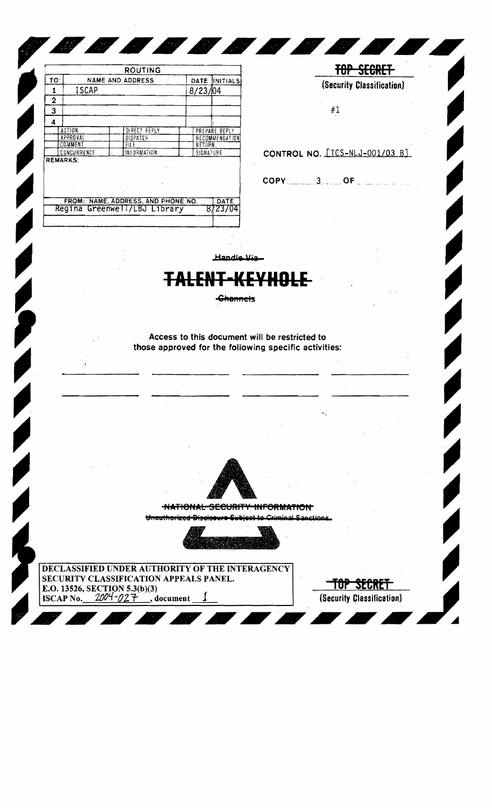|                 |              | ROUTING                                                            |           |                       |
|-----------------|--------------|--------------------------------------------------------------------|-----------|-----------------------|
| <b>TO:</b>      |              | <b>NAME AND ADDRESS</b>                                            |           | DATE INITIALS         |
| 1               | <b>ISCAP</b> |                                                                    | 8/23/104  |                       |
| 2               |              |                                                                    |           |                       |
| 3               |              |                                                                    |           |                       |
| 4               |              |                                                                    |           |                       |
|                 | ACTION       | DIRECT REPLY                                                       |           | PREPARE REPLY         |
|                 | APPROVAL     | <b>DISPATCH</b>                                                    |           | <b>RECOMMENDATION</b> |
|                 | COMMENT      | FII E                                                              | RETURN    |                       |
|                 | CONCURRENCE  | INFORMATION                                                        | SIGNATURE |                       |
| <b>REMARKS:</b> |              |                                                                    |           |                       |
|                 |              |                                                                    |           |                       |
|                 |              | FROM: NAME, ADDRESS, AND PHONE NO.<br>Regina Greenwell/LBJ Library |           | DATE<br>8723704       |

**AND** 

 $\mathcal{L}_{\mathcal{A}}$ 



**TOP SEGRET** 

Handle Via

Ø

45

**MARK** 

## II-KEY TALER !!!!

<del>-Channel</del>s

Access to this document will be restricted to those approved for the following specific activities:



**NATIONAL SECURITY INFORMATION** 

Unauthorized Discleaure Subject to Criminal S.



DECLASSIFIED UNDER AUTHORITY OF THE INTERAGENCY SECURITY CLASSIFICATION APPEALS PANEL. E.O. 13526, SECTION 5.3(b)(3)<br>ISCAP No.  $2004 - 027$ , d document

TOP SECRET (Security Classification)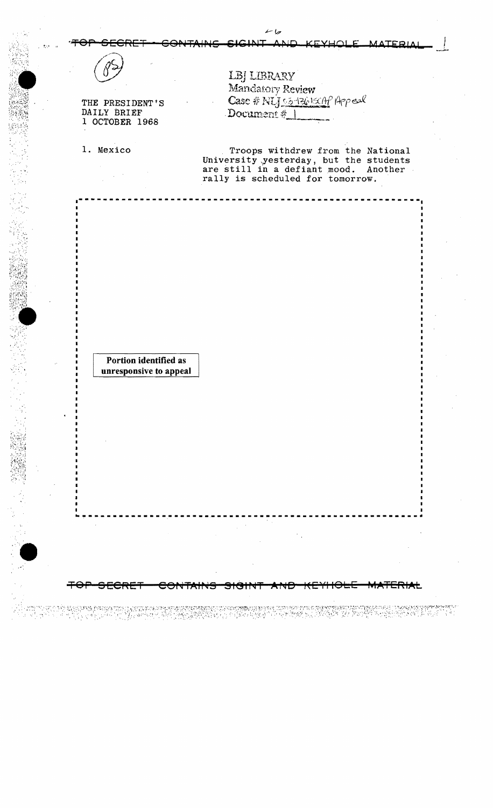|  | TOP SECRET - CONTAINS SIGINT AND KEYHOLE MATERIAL |
|--|---------------------------------------------------|
|--|---------------------------------------------------|

*,t-./.?* 

<sup>1</sup>--------------------------------------------------------

| 1 |  |
|---|--|
|   |  |

THE PRESIDENT'S DAILY BRIEF 1 OCTOBER 1968

""'1 , ••

 $``$ f $``$   $\alpha$  . '.'

 $\mathbb{R}^2$ 

LBJ LIBRARY Mandatory Review Case # Nijs5-1361xAP Appeal Document  $#$  |

1. Mexico Troops withdrew from the National University \yesterday, but the students are still in a defiant mood. Another rally is scheduled for tomorrow.

Portion identified as unresponsive to appeal

STAR DE VALLE DE LA VISION DE L'ARCHER DE LA DISPOSICIÓ DE L'ARCHE PER L'ARCHE DE L'ARCHE D'ANNAISSE PROPERTY<br>L'ARCHE DE LE GRANDE PER L'ARCHER LE LE DISPOSICIÓ DE L'ARCHE DE L'ARCHE D'ARCHE D'ARCHE D'ARCHE DE L'ARCHE DE

 $--\frac{1}{2}$  , we can expect the contribution of the contribution of the contribution of the contribution of the contribution of the contribution of the contribution of the contribution of the contribution of the contributi

TOP SECRET CONTAINS SIGINT AND KEYHOLE MATERIAL